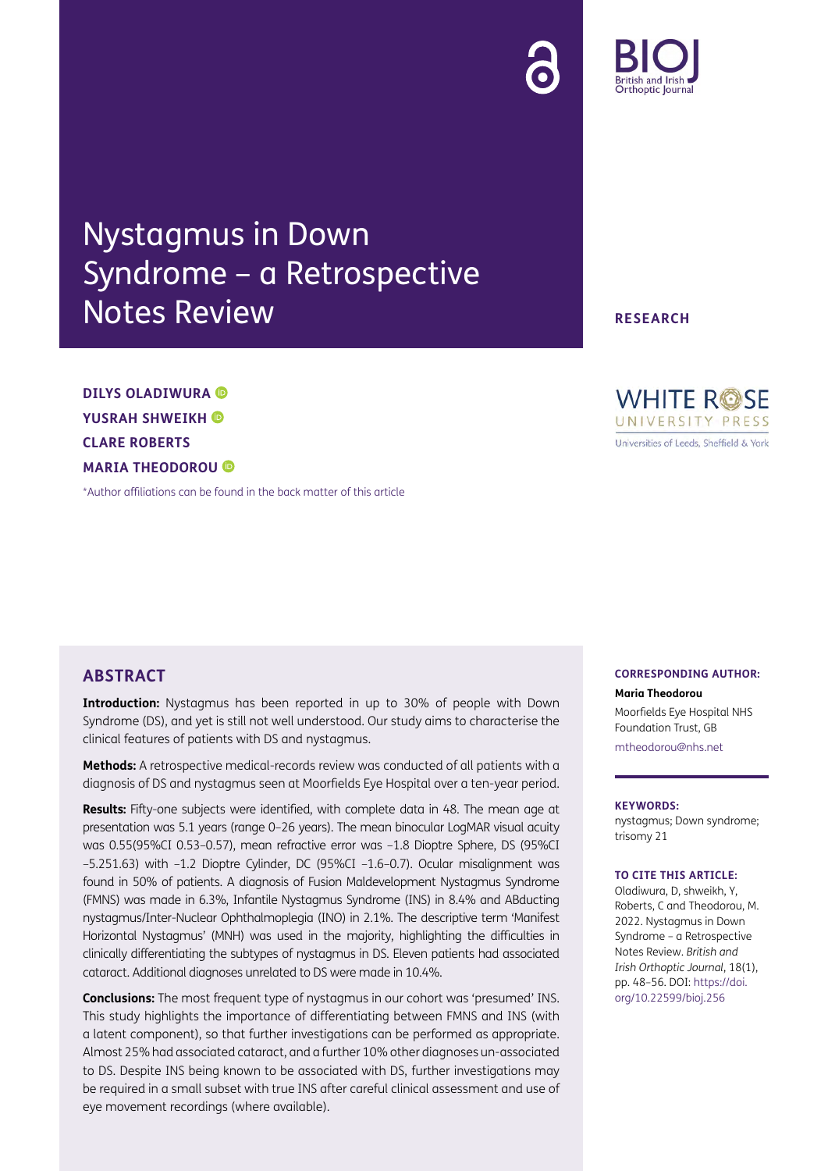# Nystagmus in Down Syndrome – a Retrospective Notes Review

**DILYS OLADIWURA YUSRAH SHWEIKH CLARE ROBERTS MARIA THEODOROU** 

[\\*Author affiliations can be found in the back matter of this article](#page-7-0)

## **ABSTRACT**

**Introduction:** Nystagmus has been reported in up to 30% of people with Down Syndrome (DS), and yet is still not well understood. Our study aims to characterise the clinical features of patients with DS and nystagmus.

**Methods:** A retrospective medical-records review was conducted of all patients with a diagnosis of DS and nystagmus seen at Moorfields Eye Hospital over a ten-year period.

**Results:** Fifty-one subjects were identified, with complete data in 48. The mean age at presentation was 5.1 years (range 0–26 years). The mean binocular LogMAR visual acuity was 0.55(95%CI 0.53–0.57), mean refractive error was –1.8 Dioptre Sphere, DS (95%CI –5.251.63) with –1.2 Dioptre Cylinder, DC (95%CI –1.6–0.7). Ocular misalignment was found in 50% of patients. A diagnosis of Fusion Maldevelopment Nystagmus Syndrome (FMNS) was made in 6.3%, Infantile Nystagmus Syndrome (INS) in 8.4% and ABducting nystagmus/Inter-Nuclear Ophthalmoplegia (INO) in 2.1%. The descriptive term 'Manifest Horizontal Nystagmus' (MNH) was used in the majority, highlighting the difficulties in clinically differentiating the subtypes of nystagmus in DS. Eleven patients had associated cataract. Additional diagnoses unrelated to DS were made in 10.4%.

**Conclusions:** The most frequent type of nystagmus in our cohort was 'presumed' INS. This study highlights the importance of differentiating between FMNS and INS (with a latent component), so that further investigations can be performed as appropriate. Almost 25% had associated cataract, and a further 10% other diagnoses un-associated to DS. Despite INS being known to be associated with DS, further investigations may be required in a small subset with true INS after careful clinical assessment and use of eye movement recordings (where available).

#### **CORRESPONDING AUTHOR:**

**Maria Theodorou**

Moorfields Eye Hospital NHS Foundation Trust, GB [mtheodorou@nhs.net](mailto:mtheodorou@nhs.net)

#### **KEYWORDS:**

nystagmus; Down syndrome; trisomy 21

#### **TO CITE THIS ARTICLE:**

Oladiwura, D, shweikh, Y, Roberts, C and Theodorou, M. 2022. Nystagmus in Down Syndrome – a Retrospective Notes Review. *British and Irish Orthoptic Journal*, 18(1), pp. 48–56. DOI: [https://doi.](https://doi.org/10.22599/bioj.256) [org/10.22599/bioj.256](https://doi.org/10.22599/bioj.256)

**RESEARCH**

**WHITE ROSE** UNIVERSITY PRESS Universities of Leeds, Sheffield & York

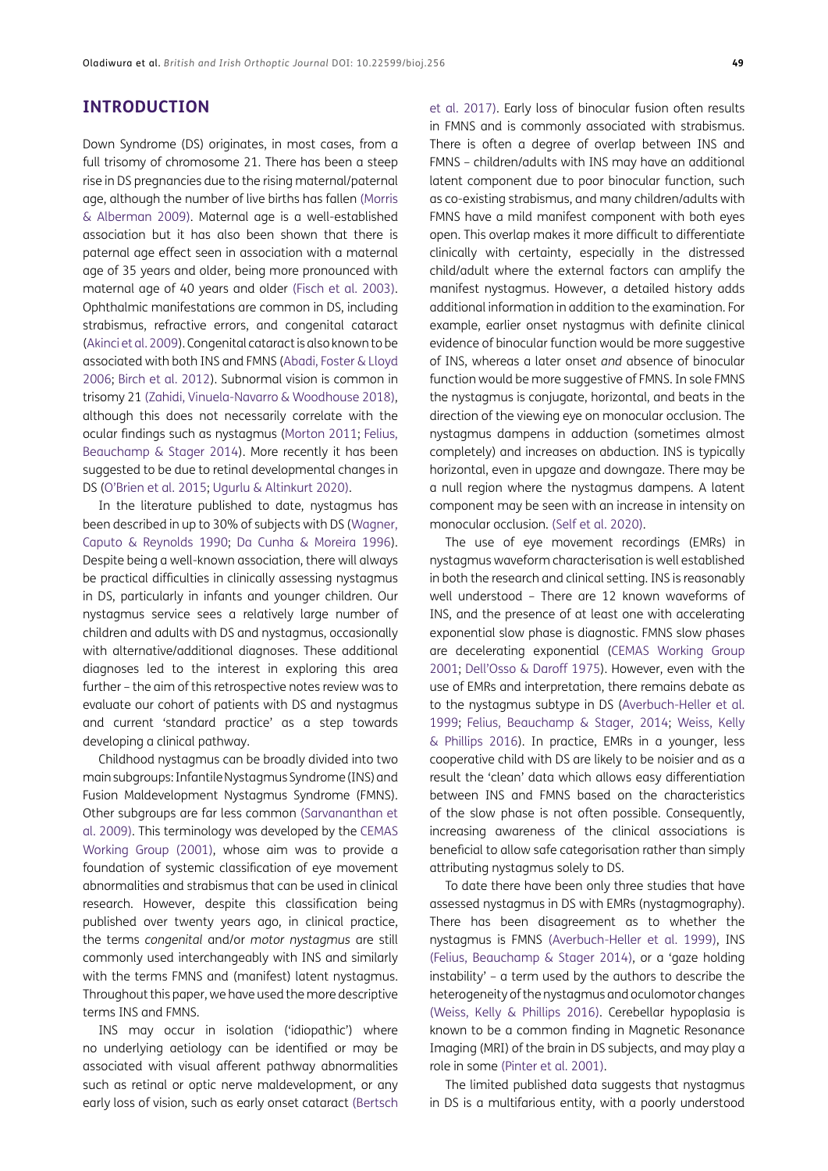#### **INTRODUCTION**

Down Syndrome (DS) originates, in most cases, from a full trisomy of chromosome 21. There has been a steep rise in DS pregnancies due to the rising maternal/paternal age, although the number of live births has fallen ([Morris](#page-8-0) [& Alberman 2009\)](#page-8-0). Maternal age is a well-established association but it has also been shown that there is paternal age effect seen in association with a maternal age of 35 years and older, being more pronounced with maternal age of 40 years and older [\(Fisch et al. 2003](#page-7-1)). Ophthalmic manifestations are common in DS, including strabismus, refractive errors, and congenital cataract [\(Akinci et al. 2009](#page-7-2)). Congenital cataract is also known to be associated with both INS and FMNS ([Abadi, Foster & Lloyd](#page-7-3) [2006](#page-7-3); [Birch et al. 2012](#page-7-4)). Subnormal vision is common in trisomy 21 [\(Zahidi, Vinuela-Navarro & Woodhouse 2018](#page-8-1)), although this does not necessarily correlate with the ocular findings such as nystagmus ([Morton 2011](#page-8-2); [Felius,](#page-7-5) [Beauchamp & Stager 2014](#page-7-5)). More recently it has been suggested to be due to retinal developmental changes in DS (O'Brien et al. 2015; [Ugurlu & Altinkurt 2020\)](#page-8-3).

In the literature published to date, nystagmus has been described in up to 30% of subjects with DS ([Wagner,](#page-8-4) [Caputo & Reynolds 1990;](#page-8-4) [Da Cunha & Moreira 1996](#page-7-6)). Despite being a well-known association, there will always be practical difficulties in clinically assessing nystagmus in DS, particularly in infants and younger children. Our nystagmus service sees a relatively large number of children and adults with DS and nystagmus, occasionally with alternative/additional diagnoses. These additional diagnoses led to the interest in exploring this area further – the aim of this retrospective notes review was to evaluate our cohort of patients with DS and nystagmus and current 'standard practice' as a step towards developing a clinical pathway.

Childhood nystagmus can be broadly divided into two main subgroups: Infantile Nystagmus Syndrome (INS) and Fusion Maldevelopment Nystagmus Syndrome (FMNS). Other subgroups are far less common ([Sarvananthan et](#page-8-5) [al. 2009](#page-8-5)). This terminology was developed by the [CEMAS](#page-7-7) [Working Group \(2001\)](#page-7-7), whose aim was to provide a foundation of systemic classification of eye movement abnormalities and strabismus that can be used in clinical research. However, despite this classification being published over twenty years ago, in clinical practice, the terms *congenital* and/or *motor nystagmus* are still commonly used interchangeably with INS and similarly with the terms FMNS and (manifest) latent nystagmus. Throughout this paper, we have used the more descriptive terms INS and FMNS.

INS may occur in isolation ('idiopathic') where no underlying aetiology can be identified or may be associated with visual afferent pathway abnormalities such as retinal or optic nerve maldevelopment, or any early loss of vision, such as early onset cataract [\(Bertsch](#page-7-8) [et al. 2017](#page-7-8)). Early loss of binocular fusion often results in FMNS and is commonly associated with strabismus. There is often a degree of overlap between INS and FMNS – children/adults with INS may have an additional latent component due to poor binocular function, such as co-existing strabismus, and many children/adults with FMNS have a mild manifest component with both eyes open. This overlap makes it more difficult to differentiate clinically with certainty, especially in the distressed child/adult where the external factors can amplify the manifest nystagmus. However, a detailed history adds additional information in addition to the examination. For example, earlier onset nystagmus with definite clinical evidence of binocular function would be more suggestive of INS, whereas a later onset *and* absence of binocular function would be more suggestive of FMNS. In sole FMNS the nystagmus is conjugate, horizontal, and beats in the direction of the viewing eye on monocular occlusion. The nystagmus dampens in adduction (sometimes almost completely) and increases on abduction. INS is typically horizontal, even in upgaze and downgaze. There may be a null region where the nystagmus dampens. A latent component may be seen with an increase in intensity on monocular occlusion. ([Self et al. 2020\)](#page-8-6).

The use of eye movement recordings (EMRs) in nystagmus waveform characterisation is well established in both the research and clinical setting. INS is reasonably well understood – There are 12 known waveforms of INS, and the presence of at least one with accelerating exponential slow phase is diagnostic. FMNS slow phases are decelerating exponential ([CEMAS Working Group](#page-7-7)  [2001;](#page-7-7) Dell'Osso & Daroff 1975). However, even with the use of EMRs and interpretation, there remains debate as to the nystagmus subtype in DS (Averbuch-Heller et al. 1999; [Felius, Beauchamp & Stager, 2014;](#page-7-5) [Weiss, Kelly](#page-8-7)  [& Phillips 2016](#page-8-7)). In practice, EMRs in a younger, less cooperative child with DS are likely to be noisier and as a result the 'clean' data which allows easy differentiation between INS and FMNS based on the characteristics of the slow phase is not often possible. Consequently, increasing awareness of the clinical associations is beneficial to allow safe categorisation rather than simply attributing nystagmus solely to DS.

To date there have been only three studies that have assessed nystagmus in DS with EMRs (nystagmography). There has been disagreement as to whether the nystagmus is FMNS (Averbuch-Heller et al. 1999), INS ([Felius, Beauchamp & Stager 2014\)](#page-7-5), or a 'gaze holding instability' – a term used by the authors to describe the heterogeneity of the nystagmus and oculomotor changes ([Weiss, Kelly & Phillips 2016](#page-8-7)). Cerebellar hypoplasia is known to be a common finding in Magnetic Resonance Imaging (MRI) of the brain in DS subjects, and may play a role in some [\(Pinter et al. 2001](#page-8-8)).

The limited published data suggests that nystagmus in DS is a multifarious entity, with a poorly understood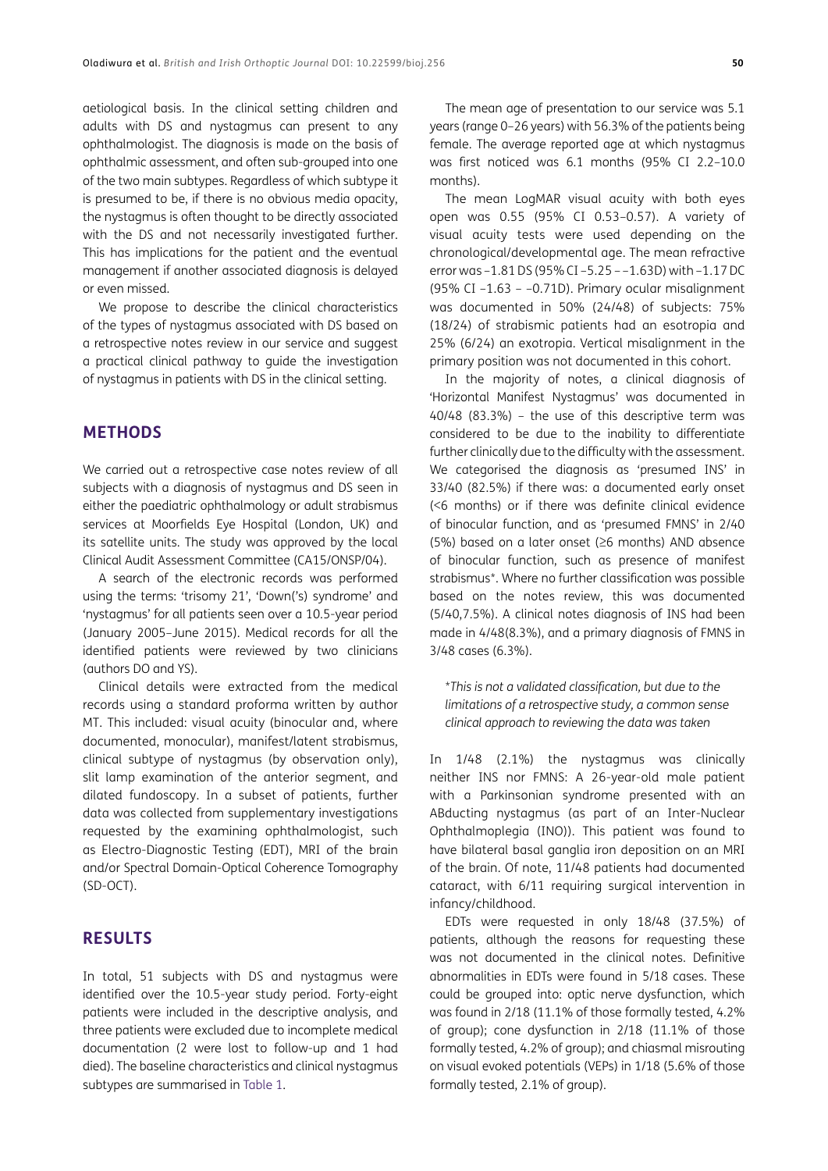aetiological basis. In the clinical setting children and adults with DS and nystagmus can present to any ophthalmologist. The diagnosis is made on the basis of ophthalmic assessment, and often sub-grouped into one of the two main subtypes. Regardless of which subtype it is presumed to be, if there is no obvious media opacity, the nystagmus is often thought to be directly associated with the DS and not necessarily investigated further. This has implications for the patient and the eventual management if another associated diagnosis is delayed or even missed.

We propose to describe the clinical characteristics of the types of nystagmus associated with DS based on a retrospective notes review in our service and suggest a practical clinical pathway to guide the investigation of nystagmus in patients with DS in the clinical setting.

#### **METHODS**

We carried out a retrospective case notes review of all subjects with a diagnosis of nystagmus and DS seen in either the paediatric ophthalmology or adult strabismus services at Moorfields Eye Hospital (London, UK) and its satellite units. The study was approved by the local Clinical Audit Assessment Committee (CA15/ONSP/04).

A search of the electronic records was performed using the terms: 'trisomy 21', 'Down('s) syndrome' and 'nystagmus' for all patients seen over a 10.5-year period (January 2005–June 2015). Medical records for all the identified patients were reviewed by two clinicians (authors DO and YS).

Clinical details were extracted from the medical records using a standard proforma written by author MT. This included: visual acuity (binocular and, where documented, monocular), manifest/latent strabismus, clinical subtype of nystagmus (by observation only), slit lamp examination of the anterior segment, and dilated fundoscopy. In a subset of patients, further data was collected from supplementary investigations requested by the examining ophthalmologist, such as Electro-Diagnostic Testing (EDT), MRI of the brain and/or Spectral Domain-Optical Coherence Tomography (SD-OCT).

## **RESULTS**

In total, 51 subjects with DS and nystagmus were identified over the 10.5-year study period. Forty-eight patients were included in the descriptive analysis, and three patients were excluded due to incomplete medical documentation (2 were lost to follow-up and 1 had died). The baseline characteristics and clinical nystagmus subtypes are summarised in [Table 1](#page-4-0).

The mean age of presentation to our service was 5.1 years (range 0–26 years) with 56.3% of the patients being female. The average reported age at which nystagmus was first noticed was 6.1 months (95% CI 2.2–10.0 months).

The mean LogMAR visual acuity with both eyes open was 0.55 (95% CI 0.53–0.57). A variety of visual acuity tests were used depending on the chronological/developmental age. The mean refractive error was –1.81 DS (95% CI –5.25 – –1.63D) with –1.17 DC (95% CI –1.63 – –0.71D). Primary ocular misalignment was documented in 50% (24/48) of subjects: 75% (18/24) of strabismic patients had an esotropia and 25% (6/24) an exotropia. Vertical misalignment in the primary position was not documented in this cohort.

In the majority of notes, a clinical diagnosis of 'Horizontal Manifest Nystagmus' was documented in 40/48 (83.3%) – the use of this descriptive term was considered to be due to the inability to differentiate further clinically due to the difficulty with the assessment. We categorised the diagnosis as 'presumed INS' in 33/40 (82.5%) if there was: a documented early onset (<6 months) or if there was definite clinical evidence of binocular function, and as 'presumed FMNS' in 2/40 (5%) based on a later onset (≥6 months) AND absence of binocular function, such as presence of manifest strabismus\*. Where no further classification was possible based on the notes review, this was documented (5/40,7.5%). A clinical notes diagnosis of INS had been made in 4/48(8.3%), and a primary diagnosis of FMNS in 3/48 cases (6.3%).

\**This is not a validated classification, but due to the limitations of a retrospective study, a common sense clinical approach to reviewing the data was taken*

In 1/48 (2.1%) the nystagmus was clinically neither INS nor FMNS: A 26-year-old male patient with a Parkinsonian syndrome presented with an ABducting nystagmus (as part of an Inter-Nuclear Ophthalmoplegia (INO)). This patient was found to have bilateral basal ganglia iron deposition on an MRI of the brain. Of note, 11/48 patients had documented cataract, with 6/11 requiring surgical intervention in infancy/childhood.

EDTs were requested in only 18/48 (37.5%) of patients, although the reasons for requesting these was not documented in the clinical notes. Definitive abnormalities in EDTs were found in 5/18 cases. These could be grouped into: optic nerve dysfunction, which was found in 2/18 (11.1% of those formally tested, 4.2% of group); cone dysfunction in 2/18 (11.1% of those formally tested, 4.2% of group); and chiasmal misrouting on visual evoked potentials (VEPs) in 1/18 (5.6% of those formally tested, 2.1% of group).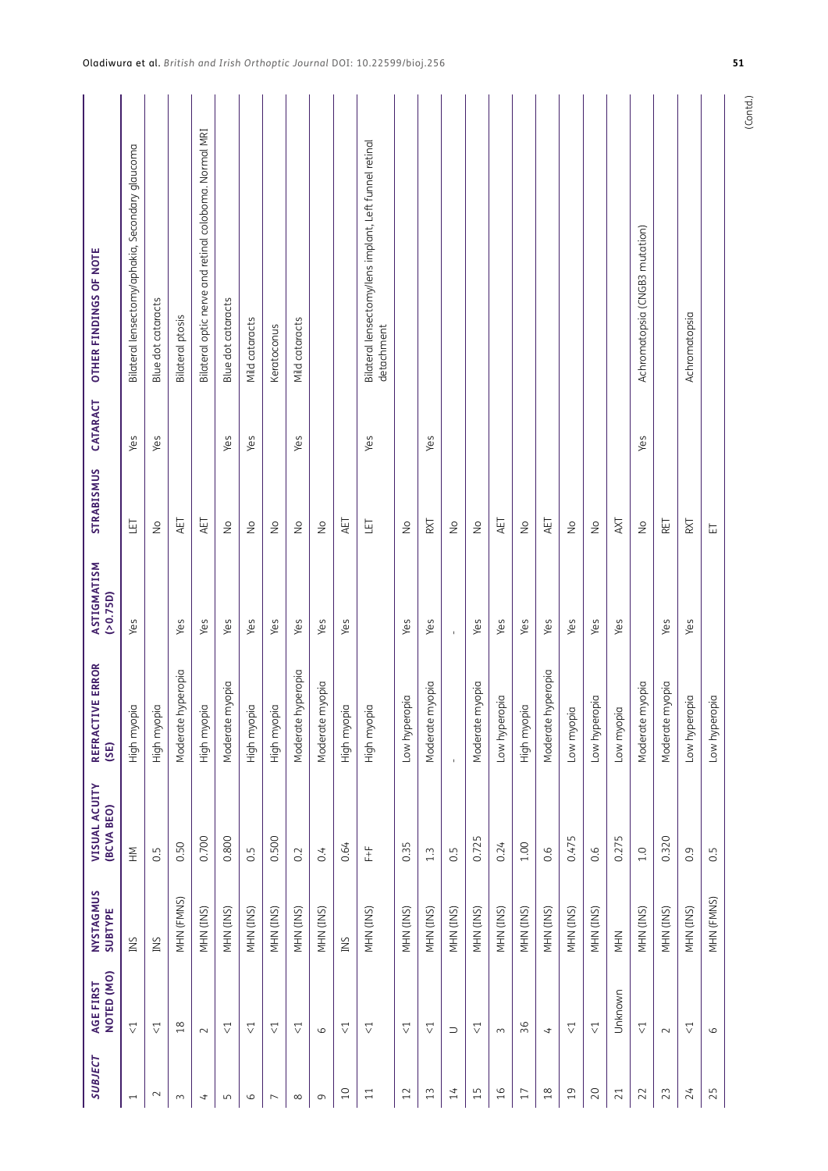| OTHER FINDINGS OF NOTE                     | Bilateral lensectomy/aphakia, Secondary glaucoma | Blue dot cataracts | Bilateral ptosis   | Bilateral optic nerve and retinal coloboma. Normal MRI | Blue dot cataracts | Mild cataracts | Keratoconus        | Mild cataracts         |                 |                 | Bilateral lensectomy/lens implant, Left funnel retinal<br>detachment |               |                 |               |                 |               |               |                    |                 |                    |            | Achromatopsia (CNGB3 mutation) |                 | Achromatopsia      |               |
|--------------------------------------------|--------------------------------------------------|--------------------|--------------------|--------------------------------------------------------|--------------------|----------------|--------------------|------------------------|-----------------|-----------------|----------------------------------------------------------------------|---------------|-----------------|---------------|-----------------|---------------|---------------|--------------------|-----------------|--------------------|------------|--------------------------------|-----------------|--------------------|---------------|
| CATARACT                                   | Yes                                              | Yes                |                    |                                                        | Yes                | Yes            |                    | Yes                    |                 |                 | Yes                                                                  |               | Yes             |               |                 |               |               |                    |                 |                    |            | Yes                            |                 |                    |               |
| STRABISMUS                                 | ET                                               | $\frac{1}{2}$      | AET                | AET                                                    | $\frac{1}{2}$      | $\frac{1}{2}$  | $\frac{1}{2}$      | $\frac{1}{2}$          | $\frac{1}{2}$   | AET             | ĿŦ                                                                   | $\frac{1}{2}$ | RXT             | $\frac{1}{2}$ | $\frac{1}{2}$   | AET           | $\frac{1}{2}$ | AET                | $\frac{1}{2}$   | $\frac{1}{2}$      | AXT        | $\frac{1}{2}$                  | RET             | RXT                | 岀             |
| ASTIGMATISM<br>(20.75D)                    | Yes                                              |                    | Yes                | Yes                                                    | Yes                | Yes            | Yes                | Yes                    | Yes             | Yes             |                                                                      | Yes           | Yes             | $\mathbf{I}$  | Yes             | Yes           | Yes           | Yes                | Yes             | Yes                | Yes        |                                | Yes             | Yes                |               |
| <b>TIVE ERROR</b><br><b>REFRAC</b><br>(SE) | High myopia                                      | High myopia        | Moderate hyperopia | High myopia                                            | Moderate myopia    | High myopia    | High myopia        | e hyperopia<br>Moderat | Moderate myopia | High myopia     | High myopia                                                          | Low hyperopia | Moderate myopia |               | Moderate myopia | Low hyperopia | High myopia   | Moderate hyperopia | Low myopia      | pidola<br>Low hype | Low myopia | Moderate myopia                | Moderate myopia | Low hyperopia      | Low hyperopia |
| VISUAL ACUITY<br>(BCVA BEO)                | $rac{5}{1}$                                      | 0.5                | 0.50               | 0.700                                                  | 0.800              | $\ddot{0}$     | 0.500              | 0.2                    | 0.4             | 0.64            | $\pm$                                                                | 0.35          | $1.3$           | 0.5           | 0.725           | 0.24          | 1.00          | 0.6                | 0.475           | 0.6                | 0.275      | 1.0                            | 0.320           | 0.9                | 0.5           |
| NYSTAGMUS<br>SUBTYPE                       | INS                                              | INS                | MHN (FMNS)         | MHN (INS)                                              | MHN (INS)          | MHN (INS)      | MHN (INS)          | MHN (INS)              | MHN (INS)       | INS             | MHN (INS)                                                            | MHN (INS)     | MHN (INS)       | MHN (INS)     | MHN (INS)       | MHN (INS)     | MHN (INS)     | MHN (INS)          | MHN (INS)       | MHN (INS)          | NHN        | MHN (INS)                      | VIHN (INS)      | MHN (INS)          | MHN (FMNS)    |
| NOTED (MO)<br>AGE FIRST                    | $\overline{\vee}$                                | $\triangledown$    | 18                 | $\sim$                                                 | $\triangledown$    | ▽              | $\bigtriangledown$ | $\bigtriangledown$     | $\circ$         | ▽               | ▽                                                                    | ▽             | $\triangledown$ | $\supset$     | ▽               | $\sim$        | 36            | $\overline{a}$     | ▽               | $\triangledown$    | Unknown    | $\triangledown$                | $\sim$          | $\bigtriangledown$ | $\circ$       |
| <b>SUBJECT</b>                             | $\overline{\phantom{0}}$                         | $\sim$             | $\sim$             | 4                                                      | S                  | 6              | $\overline{ }$     | $\infty$               | $\sigma$        | $\overline{10}$ | $\Xi$                                                                | 12            | 13              | 14            | 15              | 16            | $17\,$        | $18$               | $\overline{19}$ | 20                 | 21         | 22                             | 23              | 24                 | 25            |

(Contd.)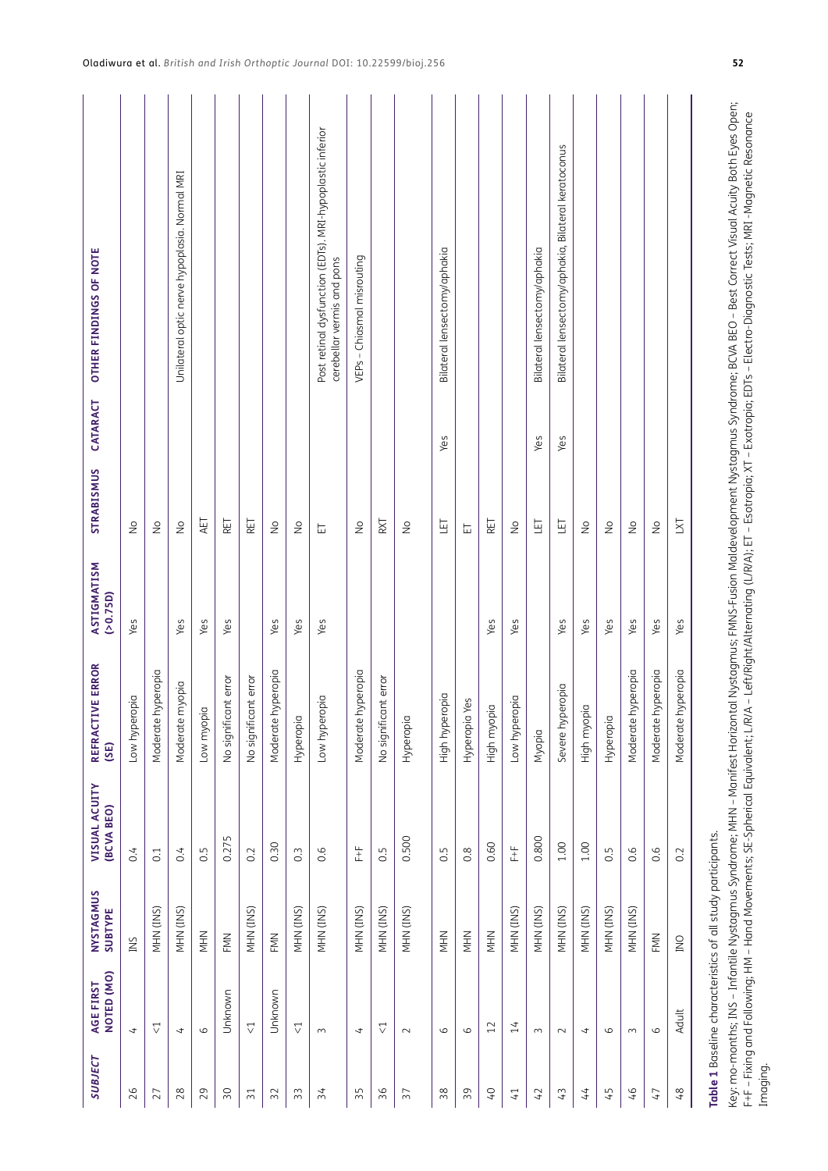| <b>SUBJECT</b>  | NOTED (MO)<br>AGE FIRST | NYSTAGMUS<br><b>SUBTYPE</b>                                 | VISUAL ACUITY<br>(BCVA BEO) | REFRACTIVE ERROR<br>(SE) | ASTIGMATISM<br>(20.75D) | STRABISMUS                 | CATARACT | OTHER FINDINGS OF NOTE                                                                                                                                                                      |
|-----------------|-------------------------|-------------------------------------------------------------|-----------------------------|--------------------------|-------------------------|----------------------------|----------|---------------------------------------------------------------------------------------------------------------------------------------------------------------------------------------------|
| 26              | $\overline{t}$          | INS                                                         | 0.4                         | Low hyperopia            | Yes                     | $\frac{1}{2}$              |          |                                                                                                                                                                                             |
| 27              | $\triangledown$         | MHN (INS)                                                   | C <sub>1</sub>              | hyperopia<br>Moderate    |                         | $\stackrel{\circ}{\geq}$   |          |                                                                                                                                                                                             |
| 28              | 4                       | NHN (INS)                                                   | 0.4                         | myopia<br>Moderate       | Yes                     | $\frac{1}{2}$              |          | Unilateral optic nerve hypoplasia. Normal MRI                                                                                                                                               |
| 29              | $\circ$                 | NHN                                                         | 0.5                         | Low myopia               | Yes                     | AET                        |          |                                                                                                                                                                                             |
| 50              | Unknown                 | FMN                                                         | 0.275                       | No significant error     | Yes                     | RET                        |          |                                                                                                                                                                                             |
| $\overline{31}$ | $\overline{\vee}$       | NHN (INS)                                                   | 0.2                         | No significant error     |                         | RET                        |          |                                                                                                                                                                                             |
| 32              | Unknown                 | FMN                                                         | 0.30                        | hyperopia<br>Moderate    | Yes                     | $\frac{1}{2}$              |          |                                                                                                                                                                                             |
| $\mathfrak{Z}3$ | $\bigtriangledown$      | MHN (INS)                                                   | $\overline{0}$              | Hyperopia                | Yes                     | $\stackrel{\circ}{\geq}$   |          |                                                                                                                                                                                             |
| $\overline{34}$ | $\sim$                  | MHN (INS)                                                   | 0.6                         | pido<br>Low hyper        | Yes                     | 岀                          |          | Post retinal dysfunction (EDTs). MRI-hypoplastic inferior<br>cerebellar vermis and pons                                                                                                     |
| 35              | 4                       | MHN (INS)                                                   | $\pm$                       | hyperopia<br>Moderate    |                         | $\frac{1}{2}$              |          | VEPs - Chiasmal misrouting                                                                                                                                                                  |
| 36              | $\triangledown$         | MHN (INS)                                                   | 0.5                         | No significant error     |                         | RXT                        |          |                                                                                                                                                                                             |
| 37              | $\sim$                  | MHN (INS)                                                   | 0.500                       | Hyperopia                |                         | $\frac{1}{2}$              |          |                                                                                                                                                                                             |
| $38$            | $\circ$                 | NHN                                                         | 0.5                         | ropia<br>High hyper      |                         | ET                         | Yes      | Bilateral lensectomy/aphakia                                                                                                                                                                |
| 39              | $\circ$                 | NHN                                                         | 0.8                         | Hyperopia Yes            |                         | 岀                          |          |                                                                                                                                                                                             |
| $\overline{0}$  | 12                      | NHN                                                         | 0.60                        | High myopia              | Yes                     | RET                        |          |                                                                                                                                                                                             |
| $\overline{4}$  | 14                      | MHN (INS)                                                   | $\pm$                       | pido<br>Low hyper        | Yes                     | $\frac{1}{2}$              |          |                                                                                                                                                                                             |
| 42              | $\sim$                  | MHN (INS)                                                   | 0.800                       | Myopia                   |                         | 互                          | Yes      | Bilateral lensectomy/aphakia                                                                                                                                                                |
| 43              | $\sim$                  | MHN (INS)                                                   | 1.00                        | Severe hyperopia         | Yes                     | 핔                          | Yes      | Bilateral lensectomy/aphakia, Bilateral keratoconus                                                                                                                                         |
| 44              | 4                       | MHN (INS)                                                   | 1.00                        | High myopia              | Yes                     | $\frac{1}{2}$              |          |                                                                                                                                                                                             |
| 45              | $\circ$                 | MHN (INS)                                                   | 0.5                         | Hyperopia                | Yes                     | $\frac{1}{2}$              |          |                                                                                                                                                                                             |
| 46              | $\sim$                  | MHN (INS)                                                   | 0.6                         | hyperopia<br>Moderate    | Yes                     | $\stackrel{\circ}{\simeq}$ |          |                                                                                                                                                                                             |
| $\overline{4}$  | $\circ$                 | FMN                                                         | 0.6                         | hyperopia<br>Moderate    | Yes                     | $\stackrel{\circ}{\geq}$   |          |                                                                                                                                                                                             |
| 48              | Adult                   | <b>DNI</b>                                                  | 0.2                         | hyperopia<br>Moderate    | Yes                     | <b>IXI</b>                 |          |                                                                                                                                                                                             |
|                 |                         | Table 1 Baseline characteristics of all study participants. |                             |                          |                         |                            |          | Key: mo-months; INS – Infantile Nystaamus Syndrome; MHN – Manifest Horizont Nystaamus; FMNS-Fusion Maldevelopment Nystaamus Syndrome; BCVA BEO – Best Correct Visual Acuity Both Eyes Open; |

<span id="page-4-0"></span>F+F – Fixing and Following; HM – Hand Movements; SE-Spherical Equivalent; L/R/A – Left/Right/Alternating (L/R/A); ET – Esotropia; XT – Exotropia; EDTs – Electro-Diagnostic Tests; MRI -Magnetic Resonance Imaging.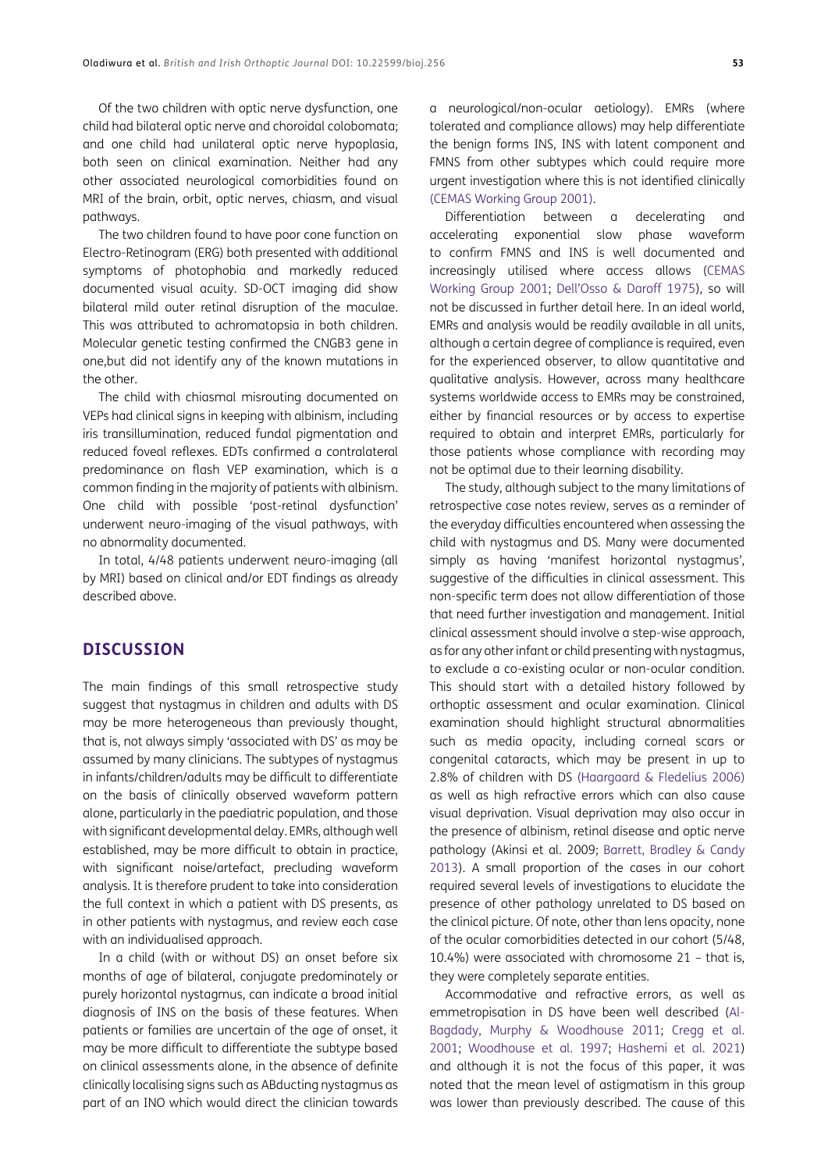Of the two children with optic nerve dysfunction, one child had bilateral optic nerve and choroidal colobomata; and one child had unilateral optic nerve hypoplasia, both seen on clinical examination. Neither had any other associated neurological comorbidities found on MRI of the brain, orbit, optic nerves, chiasm, and visual pathways.

The two children found to have poor cone function on Electro-Retinogram (ERG) both presented with additional symptoms of photophobia and markedly reduced documented visual acuity. SD-OCT imaging did show bilateral mild outer retinal disruption of the maculae. This was attributed to achromatopsia in both children. Molecular genetic testing confirmed the CNGB3 gene in one,but did not identify any of the known mutations in the other.

The child with chiasmal misrouting documented on VEPs had clinical signs in keeping with albinism, including iris transillumination, reduced fundal pigmentation and reduced foveal reflexes. EDTs confirmed a contralateral predominance on flash VEP examination, which is a common finding in the majority of patients with albinism. One child with possible 'post-retinal dysfunction' underwent neuro-imaging of the visual pathways, with no abnormality documented.

In total, 4/48 patients underwent neuro-imaging (all by MRI) based on clinical and/or EDT findings as already described above.

## **DISCUSSION**

The main findings of this small retrospective study suggest that nystagmus in children and adults with DS may be more heterogeneous than previously thought, that is, not always simply 'associated with DS' as may be assumed by many clinicians. The subtypes of nystagmus in infants/children/adults may be difficult to differentiate on the basis of clinically observed waveform pattern alone, particularly in the paediatric population, and those with significant developmental delay. EMRs, although well established, may be more difficult to obtain in practice, with significant noise/artefact, precluding waveform analysis. It is therefore prudent to take into consideration the full context in which a patient with DS presents, as in other patients with nystagmus, and review each case with an individualised approach.

In a child (with or without DS) an onset before six months of age of bilateral, conjugate predominately or purely horizontal nystagmus, can indicate a broad initial diagnosis of INS on the basis of these features. When patients or families are uncertain of the age of onset, it may be more difficult to differentiate the subtype based on clinical assessments alone, in the absence of definite clinically localising signs such as ABducting nystagmus as part of an INO which would direct the clinician towards

a neurological/non-ocular aetiology). EMRs (where tolerated and compliance allows) may help differentiate the benign forms INS, INS with latent component and FMNS from other subtypes which could require more urgent investigation where this is not identified clinically ([CEMAS Working Group 2001\)](#page-7-7).

Differentiation between a decelerating and accelerating exponential slow phase waveform to confirm FMNS and INS is well documented and increasingly utilised where access allows ([CEMAS](#page-7-7)  [Working Group 2001](#page-7-7); Dell'Osso & Daroff 1975), so will not be discussed in further detail here. In an ideal world, EMRs and analysis would be readily available in all units, although a certain degree of compliance is required, even for the experienced observer, to allow quantitative and qualitative analysis. However, across many healthcare systems worldwide access to EMRs may be constrained, either by financial resources or by access to expertise required to obtain and interpret EMRs, particularly for those patients whose compliance with recording may not be optimal due to their learning disability.

The study, although subject to the many limitations of retrospective case notes review, serves as a reminder of the everyday difficulties encountered when assessing the child with nystagmus and DS. Many were documented simply as having 'manifest horizontal nystagmus', suggestive of the difficulties in clinical assessment. This non-specific term does not allow differentiation of those that need further investigation and management. Initial clinical assessment should involve a step-wise approach, as for any other infant or child presenting with nystagmus, to exclude a co-existing ocular or non-ocular condition. This should start with a detailed history followed by orthoptic assessment and ocular examination. Clinical examination should highlight structural abnormalities such as media opacity, including corneal scars or congenital cataracts, which may be present in up to 2.8% of children with DS [\(Haargaard & Fledelius 2006\)](#page-7-9) as well as high refractive errors which can also cause visual deprivation. Visual deprivation may also occur in the presence of albinism, retinal disease and optic nerve pathology (Akinsi et al. 2009; [Barrett, Bradley & Candy](#page-7-10)  [2013\)](#page-7-10). A small proportion of the cases in our cohort required several levels of investigations to elucidate the presence of other pathology unrelated to DS based on the clinical picture. Of note, other than lens opacity, none of the ocular comorbidities detected in our cohort (5/48, 10.4%) were associated with chromosome 21 – that is, they were completely separate entities.

Accommodative and refractive errors, as well as emmetropisation in DS have been well described [\(Al-](#page-7-11)[Bagdady, Murphy & Woodhouse 2011](#page-7-11); [Cregg et al.](#page-7-12)  [2001;](#page-7-12) [Woodhouse et al. 1997;](#page-8-9) [Hashemi et al. 2021\)](#page-7-13) and although it is not the focus of this paper, it was noted that the mean level of astigmatism in this group was lower than previously described. The cause of this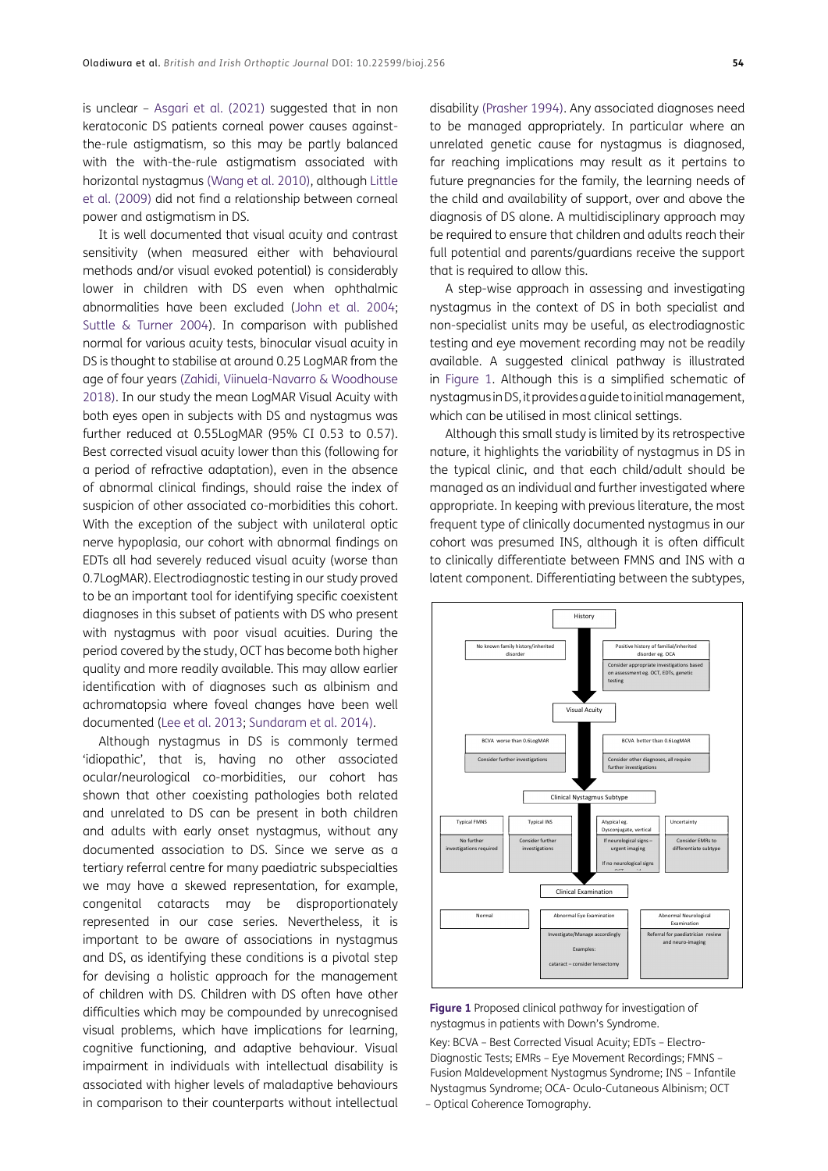is unclear – [Asgari et al. \(2021\)](#page-7-14) suggested that in non keratoconic DS patients corneal power causes againstthe-rule astigmatism, so this may be partly balanced with the with-the-rule astigmatism associated with horizontal nystagmus ([Wang et al. 2010](#page-8-10)), although [Little](#page-8-11) [et al. \(2009\)](#page-8-11) did not find a relationship between corneal power and astigmatism in DS.

It is well documented that visual acuity and contrast sensitivity (when measured either with behavioural methods and/or visual evoked potential) is considerably lower in children with DS even when ophthalmic abnormalities have been excluded [\(John et al. 2004](#page-7-15); [Suttle & Turner 2004\)](#page-8-12). In comparison with published normal for various acuity tests, binocular visual acuity in DS is thought to stabilise at around 0.25 LogMAR from the age of four years [\(Zahidi, Viinuela-Navarro & Woodhouse](#page-8-1) [2018](#page-8-1)). In our study the mean LogMAR Visual Acuity with both eyes open in subjects with DS and nystagmus was further reduced at 0.55LogMAR (95% CI 0.53 to 0.57). Best corrected visual acuity lower than this (following for a period of refractive adaptation), even in the absence of abnormal clinical findings, should raise the index of suspicion of other associated co-morbidities this cohort. With the exception of the subject with unilateral optic nerve hypoplasia, our cohort with abnormal findings on EDTs all had severely reduced visual acuity (worse than 0.7LogMAR). Electrodiagnostic testing in our study proved to be an important tool for identifying specific coexistent diagnoses in this subset of patients with DS who present with nystagmus with poor visual acuities. During the period covered by the study, OCT has become both higher quality and more readily available. This may allow earlier identification with of diagnoses such as albinism and achromatopsia where foveal changes have been well documented [\(Lee et al. 2013;](#page-7-16) [Sundaram et al. 2014](#page-8-13)).

Although nystagmus in DS is commonly termed 'idiopathic', that is, having no other associated ocular/neurological co-morbidities, our cohort has shown that other coexisting pathologies both related and unrelated to DS can be present in both children and adults with early onset nystagmus, without any documented association to DS. Since we serve as a tertiary referral centre for many paediatric subspecialties we may have a skewed representation, for example, congenital cataracts may be disproportionately represented in our case series. Nevertheless, it is important to be aware of associations in nystagmus and DS, as identifying these conditions is a pivotal step for devising a holistic approach for the management of children with DS. Children with DS often have other difficulties which may be compounded by unrecognised visual problems, which have implications for learning, cognitive functioning, and adaptive behaviour. Visual impairment in individuals with intellectual disability is associated with higher levels of maladaptive behaviours in comparison to their counterparts without intellectual disability ([Prasher 1994](#page-8-14)). Any associated diagnoses need to be managed appropriately. In particular where an unrelated genetic cause for nystagmus is diagnosed, far reaching implications may result as it pertains to future pregnancies for the family, the learning needs of the child and availability of support, over and above the diagnosis of DS alone. A multidisciplinary approach may be required to ensure that children and adults reach their full potential and parents/guardians receive the support that is required to allow this.

A step-wise approach in assessing and investigating nystagmus in the context of DS in both specialist and non-specialist units may be useful, as electrodiagnostic testing and eye movement recording may not be readily available. A suggested clinical pathway is illustrated in [Figure 1.](#page-6-0) Although this is a simplified schematic of nystagmus in DS, it provides a guide to initial management, which can be utilised in most clinical settings.

Although this small study is limited by its retrospective nature, it highlights the variability of nystagmus in DS in the typical clinic, and that each child/adult should be managed as an individual and further investigated where appropriate. In keeping with previous literature, the most frequent type of clinically documented nystagmus in our cohort was presumed INS, although it is often difficult to clinically differentiate between FMNS and INS with a latent component. Differentiating between the subtypes,



<span id="page-6-0"></span>

Key: BCVA – Best Corrected Visual Acuity; EDTs – Electro-Diagnostic Tests; EMRs – Eye Movement Recordings; FMNS – Fusion Maldevelopment Nystagmus Syndrome; INS – Infantile Nystagmus Syndrome; OCA- Oculo-Cutaneous Albinism; OCT – Optical Coherence Tomography.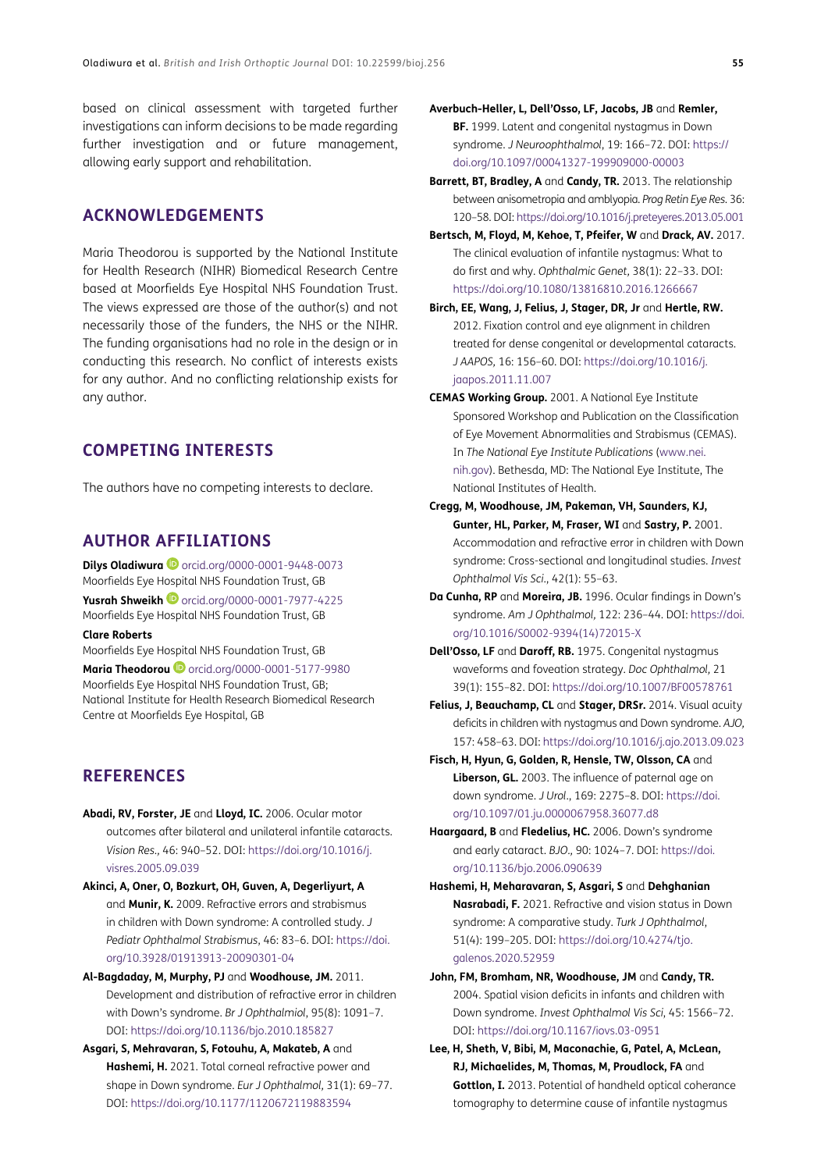based on clinical assessment with targeted further investigations can inform decisions to be made regarding further investigation and or future management, allowing early support and rehabilitation.

## **ACKNOWLEDGEMENTS**

Maria Theodorou is supported by the National Institute for Health Research (NIHR) Biomedical Research Centre based at Moorfields Eye Hospital NHS Foundation Trust. The views expressed are those of the author(s) and not necessarily those of the funders, the NHS or the NIHR. The funding organisations had no role in the design or in conducting this research. No conflict of interests exists for any author. And no conflicting relationship exists for any author.

## **COMPETING INTERESTS**

The authors have no competing interests to declare.

## <span id="page-7-0"></span>**AUTHOR AFFILIATIONS**

**Dilys Oladiwura iD** [orcid.org/0000-0001-9448-0073](https://orcid.org/0000-0001-9448-0073) Moorfields Eye Hospital NHS Foundation Trust, GB

**Yusrah Shweikh <sup>@</sup>** [orcid.org/0000-0001-7977-4225](https://orcid.org/0000-0001-7977-4225) Moorfields Eye Hospital NHS Foundation Trust, GB

**Clare Roberts**

Moorfields Eye Hospital NHS Foundation Trust, GB

**Maria Theodorou D** [orcid.org/0000-0001-5177-9980](https://orcid.org/0000-0001-5177-9980) Moorfields Eye Hospital NHS Foundation Trust, GB; National Institute for Health Research Biomedical Research Centre at Moorfields Eye Hospital, GB

#### **REFERENCES**

- <span id="page-7-3"></span>**Abadi, RV, Forster, JE** and **Lloyd, IC.** 2006. Ocular motor outcomes after bilateral and unilateral infantile cataracts. *Vision Res.,* 46: 940–52. DOI: [https://doi.org/10.1016/j.](https://doi.org/10.1016/j.visres.2005.09.039) [visres.2005.09.039](https://doi.org/10.1016/j.visres.2005.09.039)
- <span id="page-7-2"></span>**Akinci, A, Oner, O, Bozkurt, OH, Guven, A, Degerliyurt, A** and **Munir, K.** 2009. Refractive errors and strabismus in children with Down syndrome: A controlled study. *J Pediatr Ophthalmol Strabismus*, 46: 83–6. DOI: [https://doi.](https://doi.org/10.3928/01913913-20090301-04) [org/10.3928/01913913-20090301-04](https://doi.org/10.3928/01913913-20090301-04)
- <span id="page-7-11"></span>**Al-Bagdaday, M, Murphy, PJ** and **Woodhouse, JM.** 2011. Development and distribution of refractive error in children with Down's syndrome. *Br J Ophthalmiol*, 95(8): 1091–7. DOI:<https://doi.org/10.1136/bjo.2010.185827>
- <span id="page-7-14"></span>**Asgari, S, Mehravaran, S, Fotouhu, A, Makateb, A** and **Hashemi, H.** 2021. Total corneal refractive power and shape in Down syndrome. *Eur J Ophthalmol,* 31(1): 69–77. DOI:<https://doi.org/10.1177/1120672119883594>
- **Averbuch-Heller, L, Dell'Osso, LF, Jacobs, JB** and **Remler, BF.** 1999. Latent and congenital nystagmus in Down syndrome. *J Neuroophthalmol*, 19: 166–72. DOI: [https://](https://doi.org/10.1097/00041327-199909000-00003) [doi.org/10.1097/00041327-199909000-00003](https://doi.org/10.1097/00041327-199909000-00003)
- <span id="page-7-10"></span>**Barrett, BT, Bradley, A** and **Candy, TR.** 2013. The relationship between anisometropia and amblyopia. *Prog Retin Eye Res*. 36: 120–58. DOI: <https://doi.org/10.1016/j.preteyeres.2013.05.001>
- <span id="page-7-8"></span>**Bertsch, M, Floyd, M, Kehoe, T, Pfeifer, W** and **Drack, AV.** 2017. The clinical evaluation of infantile nystagmus: What to do first and why. *Ophthalmic Genet,* 38(1): 22–33. DOI: <https://doi.org/10.1080/13816810.2016.1266667>
- <span id="page-7-4"></span>**Birch, EE, Wang, J, Felius, J, Stager, DR, Jr** and **Hertle, RW.**  2012. Fixation control and eye alignment in children treated for dense congenital or developmental cataracts. *J AAPOS,* 16: 156–60. DOI: [https://doi.org/10.1016/j.](https://doi.org/10.1016/j.jaapos.2011.11.007) [jaapos.2011.11.007](https://doi.org/10.1016/j.jaapos.2011.11.007)
- <span id="page-7-7"></span>**CEMAS Working Group.** 2001. A National Eye Institute Sponsored Workshop and Publication on the Classification of Eye Movement Abnormalities and Strabismus (CEMAS). In *The National Eye Institute Publications* [\(www.nei.](http://www.nei.nih.gov) [nih.gov\)](http://www.nei.nih.gov). Bethesda, MD: The National Eye Institute, The National Institutes of Health.
- <span id="page-7-12"></span>**Cregg, M, Woodhouse, JM, Pakeman, VH, Saunders, KJ, Gunter, HL, Parker, M, Fraser, WI** and **Sastry, P.** 2001. Accommodation and refractive error in children with Down syndrome: Cross-sectional and longitudinal studies. *Invest Ophthalmol Vis Sci*., 42(1): 55–63.
- <span id="page-7-6"></span>**Da Cunha, RP** and **Moreira, JB.** 1996. Ocular findings in Down's syndrome. *Am J Ophthalmol,* 122: 236–44. DOI: [https://doi.](https://doi.org/10.1016/S0002-9394(14)72015-X) [org/10.1016/S0002-9394\(14\)72015-X](https://doi.org/10.1016/S0002-9394(14)72015-X)
- **Dell'Osso, LF** and **Daroff, RB.** 1975. Congenital nystagmus waveforms and foveation strategy. *Doc Ophthalmol,* 21 39(1): 155–82. DOI:<https://doi.org/10.1007/BF00578761>
- <span id="page-7-5"></span>**Felius, J, Beauchamp, CL** and **Stager, DRSr.** 2014. Visual acuity deficits in children with nystagmus and Down syndrome. *AJO,* 157: 458–63. DOI: <https://doi.org/10.1016/j.ajo.2013.09.023>
- <span id="page-7-1"></span>**Fisch, H, Hyun, G, Golden, R, Hensle, TW, Olsson, CA** and **Liberson, GL.** 2003. The influence of paternal age on down syndrome. *J Urol*., 169: 2275–8. DOI: [https://doi.](https://doi.org/10.1097/01.ju.0000067958.36077.d8) [org/10.1097/01.ju.0000067958.36077.d8](https://doi.org/10.1097/01.ju.0000067958.36077.d8)
- <span id="page-7-9"></span>**Haargaard, B** and **Fledelius, HC.** 2006. Down's syndrome and early cataract. *BJO.,* 90: 1024–7. DOI: [https://doi.](https://doi.org/10.1136/bjo.2006.090639) [org/10.1136/bjo.2006.090639](https://doi.org/10.1136/bjo.2006.090639)
- <span id="page-7-13"></span>**Hashemi, H, Meharavaran, S, Asgari, S** and **Dehghanian Nasrabadi, F.** 2021. Refractive and vision status in Down syndrome: A comparative study. *Turk J Ophthalmol*, 51(4): 199–205. DOI: [https://doi.org/10.4274/tjo.](https://doi.org/10.4274/tjo.galenos.2020.52959) [galenos.2020.52959](https://doi.org/10.4274/tjo.galenos.2020.52959)
- <span id="page-7-15"></span>**John, FM, Bromham, NR, Woodhouse, JM** and **Candy, TR.** 2004. Spatial vision deficits in infants and children with Down syndrome. *Invest Ophthalmol Vis Sci*, 45: 1566–72. DOI:<https://doi.org/10.1167/iovs.03-0951>
- <span id="page-7-16"></span>**Lee, H, Sheth, V, Bibi, M, Maconachie, G, Patel, A, McLean, RJ, Michaelides, M, Thomas, M, Proudlock, FA** and **Gottlon, I.** 2013. Potential of handheld optical coherance tomography to determine cause of infantile nystagmus